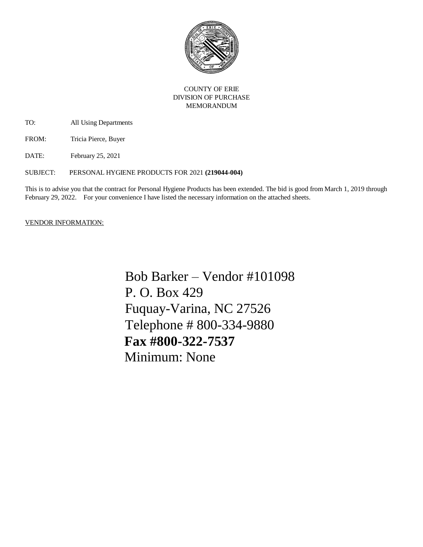

## COUNTY OF ERIE DIVISION OF PURCHASE MEMORANDUM

TO: All Using Departments

FROM: Tricia Pierce, Buyer

DATE: February 25, 2021

SUBJECT: PERSONAL HYGIENE PRODUCTS FOR 2021 **(219044-004)** 

This is to advise you that the contract for Personal Hygiene Products has been extended. The bid is good from March 1, 2019 through February 29, 2022. For your convenience I have listed the necessary information on the attached sheets.

## VENDOR INFORMATION:

Bob Barker – Vendor #101098 P. O. Box 429 Fuquay-Varina, NC 27526 Telephone # 800-334-9880  **Fax #800-322-7537** Minimum: None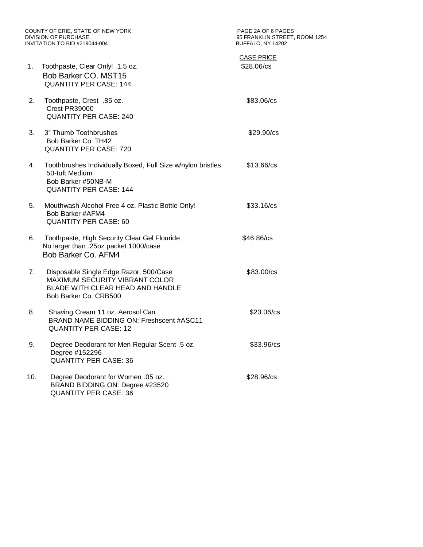COUNTY OF ERIE, STATE OF NEW YORK PAGE 2A OF 6 PAGES DIVISION OF PURCHASE<br>INVITATION TO BID #219044-004

1770 EXTREMIN STREET, ROOM 1254<br>BUFFALO, NY 14202

| 1.  | Toothpaste, Clear Only! 1.5 oz.<br>Bob Barker CO. MST15<br><b>QUANTITY PER CASE: 144</b>                                                     | <b>CASE PRICE</b><br>\$28.06/cs |  |
|-----|----------------------------------------------------------------------------------------------------------------------------------------------|---------------------------------|--|
| 2.  | Toothpaste, Crest .85 oz.<br>Crest PR39000<br><b>QUANTITY PER CASE: 240</b>                                                                  | \$83.06/cs                      |  |
| 3.  | 3" Thumb Toothbrushes<br>Bob Barker Co. TH42<br><b>QUANTITY PER CASE: 720</b>                                                                | \$29.90/cs                      |  |
| 4.  | Toothbrushes Individually Boxed, Full Size w/nylon bristles<br>50-tuft Medium<br>Bob Barker #50NB-M<br><b>QUANTITY PER CASE: 144</b>         | \$13.66/cs                      |  |
| 5.  | Mouthwash Alcohol Free 4 oz. Plastic Bottle Only!<br>Bob Barker #AFM4<br><b>QUANTITY PER CASE: 60</b>                                        | \$33.16/cs                      |  |
| 6.  | Toothpaste, High Security Clear Gel Flouride<br>No larger than .25oz packet 1000/case<br>Bob Barker Co. AFM4                                 | \$46.86/cs                      |  |
| 7.  | Disposable Single Edge Razor, 500/Case<br><b>MAXIMUM SECURITY VIBRANT COLOR</b><br>BLADE WITH CLEAR HEAD AND HANDLE<br>Bob Barker Co. CRB500 | \$83.00/cs                      |  |
| 8.  | Shaving Cream 11 oz. Aerosol Can<br>BRAND NAME BIDDING ON: Freshscent #ASC11<br><b>QUANTITY PER CASE: 12</b>                                 | \$23.06/cs                      |  |
| 9.  | Degree Deodorant for Men Regular Scent .5 oz.<br>Degree #152296<br><b>QUANTITY PER CASE: 36</b>                                              | \$33.96/cs                      |  |
| 10. | Degree Deodorant for Women .05 oz.<br>BRAND BIDDING ON: Degree #23520<br><b>QUANTITY PER CASE: 36</b>                                        | \$28.96/cs                      |  |